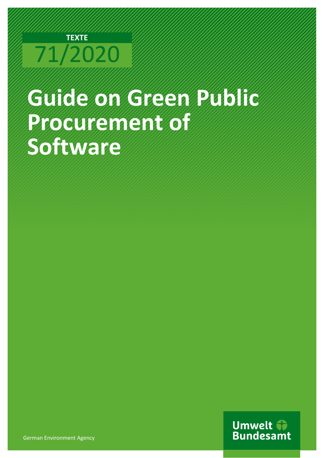# **TEXTE**  71/2020

# **Guide on Green Public Procurement of Software**

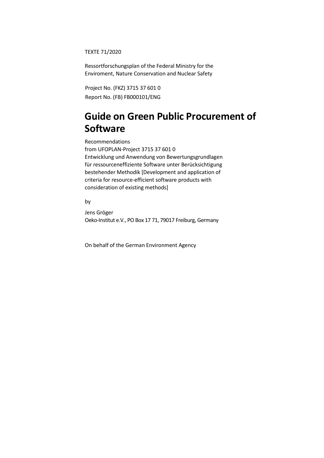TEXTE 71/2020

Ressortforschungsplan of the Federal Ministry for the Enviroment, Nature Conservation and Nuclear Safety

Project No. (FKZ) 3715 37 601 0 Report No. (FB) FB000101/ENG

# **Guide on Green Public Procurement of Software**

 criteria for resource-efficient software products with consideration of existing methods] Recommendations from UFOPLAN-Project 3715 37 601 0 Entwicklung und Anwendung von Bewertungsgrundlagen für ressourceneffiziente Software unter Berücksichtigung bestehender Methodik [Development and application of

by

Jens Gröger Oeko-Institut e.V., PO Box 17 71, 79017 Freiburg, Germany

On behalf of the German Environment Agency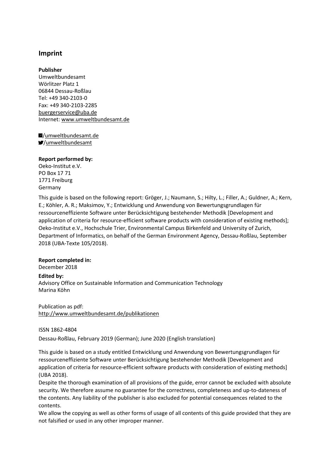#### **Imprint**

**Publisher**  Umweltbundesamt Wörlitzer Platz 1 06844 Dessau-Roßlau Tel: +49 340-2103-0 Fax: +49 340-2103-2285 [buergerservice@uba.de](mailto:buergerservice@uba.de)  Internet: www.umweltbundesamt.de

/umweltbundesamt.de /umweltbundesamt

#### **Report performed by:**

Germany Oeko-Institut e.V. PO Box 17 71 1771 Freiburg

 application of criteria for resource-efficient software products with consideration of existing methods]; Department of Informatics, on behalf of the German Environment Agency, Dessau-Roßlau, September 2018 (UBA-Texte 105/2018). This guide is based on the following report: Gröger, J.; Naumann, S.; Hilty, L.; Filler, A.; Guldner, A.; Kern, E.; Köhler, A. R.; Maksimov, Y.; Entwicklung und Anwendung von Bewertungsgrundlagen für ressourceneffiziente Software unter Berücksichtigung bestehender Methodik [Development and Oeko-Institut e.V., Hochschule Trier, Environmental Campus Birkenfeld and University of Zurich,

#### **Report completed in:**

December 2018

#### **Edited by:**

Marina Köhn Advisory Office on Sustainable Information and Communication Technology

## Publication as pdf:

<http://www.umweltbundesamt.de/publikationen>

#### ISSN 1862-4804

Dessau-Roßlau, February 2019 (German); June 2020 (English translation)

of existing methods] This guide is based on a study entitled Entwicklung und Anwendung von Bewertungsgrundlagen für ressourceneffiziente Software unter Berücksichtigung bestehender Methodik [Development and This guide is based on a study entitled Entwicklung und Anwendung von Bewertungsgrundlagen für<br>ressourceneffiziente Software unter Berücksichtigung bestehender Methodik [Development and<br>application of criteria for resource

 Despite the thorough examination of all provisions of the guide, error cannot be excluded with absolute the security. We therefore assume no guarantee for the correctness, completeness and up-to-dateness of contents. security. We therefore assume no guarantee for the correctness, completeness and up-to-dateness of<br>the contents. Any liability of the publisher is also excluded for potential consequences related to the<br>contents.<br>We allow

other forms of usage of all contents of this guide provided that they are not falsified or used in any other improper manner.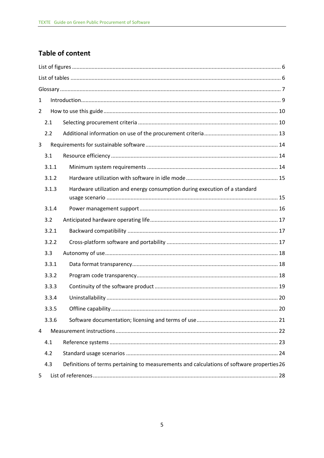## **Table of content**

| $\mathbf{1}$ |       |                                                                                            |  |
|--------------|-------|--------------------------------------------------------------------------------------------|--|
| 2            |       |                                                                                            |  |
|              | 2.1   |                                                                                            |  |
|              | 2.2   |                                                                                            |  |
| 3            |       |                                                                                            |  |
|              | 3.1   |                                                                                            |  |
|              | 3.1.1 |                                                                                            |  |
|              | 3.1.2 |                                                                                            |  |
|              | 3.1.3 | Hardware utilization and energy consumption during execution of a standard                 |  |
|              | 3.1.4 |                                                                                            |  |
|              | 3.2   |                                                                                            |  |
|              | 3.2.1 |                                                                                            |  |
|              | 3.2.2 |                                                                                            |  |
|              | 3.3   |                                                                                            |  |
|              | 3.3.1 |                                                                                            |  |
|              | 3.3.2 |                                                                                            |  |
|              | 3.3.3 |                                                                                            |  |
|              | 3.3.4 |                                                                                            |  |
|              | 3.3.5 |                                                                                            |  |
|              | 3.3.6 |                                                                                            |  |
| 4            |       |                                                                                            |  |
|              | 4.1   |                                                                                            |  |
|              | 4.2   |                                                                                            |  |
|              | 4.3   | Definitions of terms pertaining to measurements and calculations of software properties 26 |  |
| 5            |       |                                                                                            |  |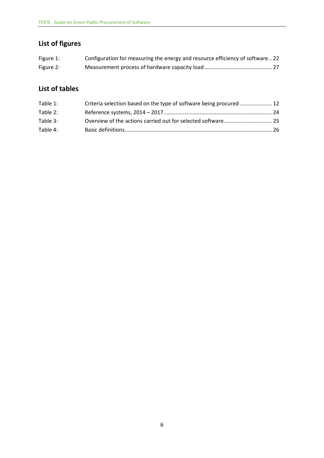#### <span id="page-5-0"></span> **List of figures**

| Figure 1: | Configuration for measuring the energy and resource efficiency of software22 |
|-----------|------------------------------------------------------------------------------|
| Figure 2: |                                                                              |

## <span id="page-5-1"></span>**List of tables**

| Table 1: | Criteria selection based on the type of software being procured  12 |  |
|----------|---------------------------------------------------------------------|--|
| Table 2: |                                                                     |  |
| Table 3: |                                                                     |  |
| Table 4: |                                                                     |  |
|          |                                                                     |  |
|          |                                                                     |  |
|          |                                                                     |  |
|          |                                                                     |  |
|          |                                                                     |  |
|          |                                                                     |  |
|          |                                                                     |  |
|          |                                                                     |  |
|          |                                                                     |  |
|          |                                                                     |  |
|          |                                                                     |  |
|          |                                                                     |  |
|          |                                                                     |  |
|          |                                                                     |  |
|          |                                                                     |  |
|          |                                                                     |  |
|          |                                                                     |  |
|          |                                                                     |  |
|          |                                                                     |  |
|          |                                                                     |  |
|          |                                                                     |  |
|          |                                                                     |  |
|          |                                                                     |  |
|          |                                                                     |  |
|          |                                                                     |  |
|          |                                                                     |  |
|          |                                                                     |  |
|          |                                                                     |  |
|          |                                                                     |  |
|          | 6                                                                   |  |
|          |                                                                     |  |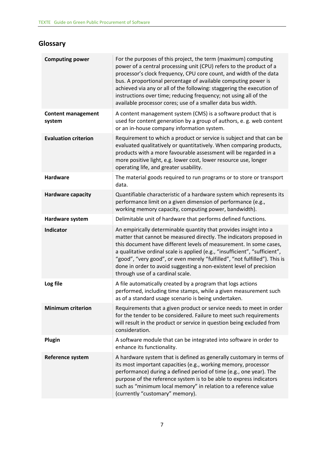## <span id="page-6-0"></span>**Glossary**

| <b>Computing power</b>              | For the purposes of this project, the term (maximum) computing<br>power of a central processing unit (CPU) refers to the product of a<br>processor's clock frequency, CPU core count, and width of the data<br>bus. A proportional percentage of available computing power is<br>achieved via any or all of the following: staggering the execution of<br>instructions over time; reducing frequency; not using all of the<br>available processor cores; use of a smaller data bus width. |
|-------------------------------------|-------------------------------------------------------------------------------------------------------------------------------------------------------------------------------------------------------------------------------------------------------------------------------------------------------------------------------------------------------------------------------------------------------------------------------------------------------------------------------------------|
| <b>Content management</b><br>system | A content management system (CMS) is a software product that is<br>used for content generation by a group of authors, e. g. web content<br>or an in-house company information system.                                                                                                                                                                                                                                                                                                     |
| <b>Evaluation criterion</b>         | Requirement to which a product or service is subject and that can be<br>evaluated qualitatively or quantitatively. When comparing products,<br>products with a more favourable assessment will be regarded in a<br>more positive light, e.g. lower cost, lower resource use, longer<br>operating life, and greater usability.                                                                                                                                                             |
| <b>Hardware</b>                     | The material goods required to run programs or to store or transport<br>data.                                                                                                                                                                                                                                                                                                                                                                                                             |
| <b>Hardware capacity</b>            | Quantifiable characteristic of a hardware system which represents its<br>performance limit on a given dimension of performance (e.g.,<br>working memory capacity, computing power, bandwidth).                                                                                                                                                                                                                                                                                            |
| Hardware system                     | Delimitable unit of hardware that performs defined functions.                                                                                                                                                                                                                                                                                                                                                                                                                             |
| <b>Indicator</b>                    | An empirically determinable quantity that provides insight into a<br>matter that cannot be measured directly. The indicators proposed in<br>this document have different levels of measurement. In some cases,<br>a qualitative ordinal scale is applied (e.g., "insufficient", "sufficient",<br>"good", "very good", or even merely "fulfilled", "not fulfilled"). This is<br>done in order to avoid suggesting a non-existent level of precision<br>through use of a cardinal scale.    |
| Log file                            | A file automatically created by a program that logs actions<br>performed, including time stamps, while a given measurement such<br>as of a standard usage scenario is being undertaken.                                                                                                                                                                                                                                                                                                   |
| <b>Minimum criterion</b>            | Requirements that a given product or service needs to meet in order<br>for the tender to be considered. Failure to meet such requirements<br>will result in the product or service in question being excluded from<br>consideration.                                                                                                                                                                                                                                                      |
| Plugin                              | A software module that can be integrated into software in order to<br>enhance its functionality.                                                                                                                                                                                                                                                                                                                                                                                          |
| Reference system                    | A hardware system that is defined as generally customary in terms of<br>its most important capacities (e.g., working memory, processor<br>performance) during a defined period of time (e.g., one year). The<br>purpose of the reference system is to be able to express indicators<br>such as "minimum local memory" in relation to a reference value<br>(currently "customary" memory).                                                                                                 |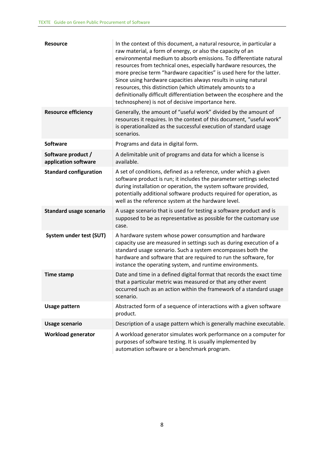| <b>Resource</b>                            | In the context of this document, a natural resource, in particular a<br>raw material, a form of energy, or also the capacity of an<br>environmental medium to absorb emissions. To differentiate natural<br>resources from technical ones, especially hardware resources, the<br>more precise term "hardware capacities" is used here for the latter.<br>Since using hardware capacities always results in using natural<br>resources, this distinction (which ultimately amounts to a<br>definitionally difficult differentiation between the ecosphere and the<br>technosphere) is not of decisive importance here. |
|--------------------------------------------|-----------------------------------------------------------------------------------------------------------------------------------------------------------------------------------------------------------------------------------------------------------------------------------------------------------------------------------------------------------------------------------------------------------------------------------------------------------------------------------------------------------------------------------------------------------------------------------------------------------------------|
| <b>Resource efficiency</b>                 | Generally, the amount of "useful work" divided by the amount of<br>resources it requires. In the context of this document, "useful work"<br>is operationalized as the successful execution of standard usage<br>scenarios.                                                                                                                                                                                                                                                                                                                                                                                            |
| <b>Software</b>                            | Programs and data in digital form.                                                                                                                                                                                                                                                                                                                                                                                                                                                                                                                                                                                    |
| Software product /<br>application software | A delimitable unit of programs and data for which a license is<br>available.                                                                                                                                                                                                                                                                                                                                                                                                                                                                                                                                          |
| <b>Standard configuration</b>              | A set of conditions, defined as a reference, under which a given<br>software product is run; it includes the parameter settings selected<br>during installation or operation, the system software provided,<br>potentially additional software products required for operation, as<br>well as the reference system at the hardware level.                                                                                                                                                                                                                                                                             |
| <b>Standard usage scenario</b>             | A usage scenario that is used for testing a software product and is<br>supposed to be as representative as possible for the customary use<br>case.                                                                                                                                                                                                                                                                                                                                                                                                                                                                    |
| System under test (SUT)                    | A hardware system whose power consumption and hardware<br>capacity use are measured in settings such as during execution of a<br>standard usage scenario. Such a system encompasses both the<br>hardware and software that are required to run the software, for<br>instance the operating system, and runtime environments.                                                                                                                                                                                                                                                                                          |
| <b>Time stamp</b>                          | Date and time in a defined digital format that records the exact time<br>that a particular metric was measured or that any other event<br>occurred such as an action within the framework of a standard usage<br>scenario.                                                                                                                                                                                                                                                                                                                                                                                            |
| <b>Usage pattern</b>                       | Abstracted form of a sequence of interactions with a given software<br>product.                                                                                                                                                                                                                                                                                                                                                                                                                                                                                                                                       |
| <b>Usage scenario</b>                      | Description of a usage pattern which is generally machine executable.                                                                                                                                                                                                                                                                                                                                                                                                                                                                                                                                                 |
| <b>Workload generator</b>                  | A workload generator simulates work performance on a computer for<br>purposes of software testing. It is usually implemented by<br>automation software or a benchmark program.                                                                                                                                                                                                                                                                                                                                                                                                                                        |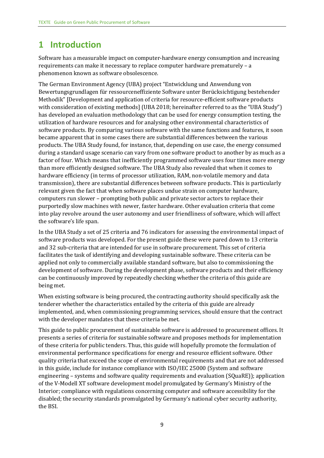## <span id="page-8-0"></span>**1 Introduction**

phenomenon known as software obsolescence. Software has a measurable impact on computer-hardware energy consumption and increasing requirements can make it necessary to replace computer hardware prematurely – a

 with consideration of existing methods] (UBA 2018; hereinafter referred to as the "UBA Study") software products. By comparing various software with the same functions and features, it soon transmission), there are substantial differences between software products. This is particularly computers run slower – prompting both public and private sector actors to replace their purportedly slow machines with newer, faster hardware. Other evaluation criteria that come The German Environment Agency (UBA) project "Entwicklung und Anwendung von Bewertungsgrundlagen für ressourceneffiziente Software unter Berücksichtigung bestehender Methodik" [Development and application of criteria for resource-efficient software products has developed an evaluation methodology that can be used for energy consumption testing, the utilization of hardware resources and for analysing other environmental characteristics of became apparent that in some cases there are substantial differences between the various products. The UBA Study found, for instance, that, depending on use case, the energy consumed during a standard usage scenario can vary from one software product to another by as much as a factor of four. Which means that inefficiently programmed software uses four times more energy than more efficiently designed software. The UBA Study also revealed that when it comes to hardware efficiency (in terms of processor utilization, RAM, non-volatile memory and data relevant given the fact that when software places undue strain on computer hardware, into play revolve around the user autonomy and user friendliness of software, which will affect the software's life span.

 and 32 sub-criteria that are intended for use in software procurement. This set of criteria development of software. During the development phase, software products and their efficiency being met. In the UBA Study a set of 25 criteria and 76 indicators for assessing the environmental impact of software products was developed. For the present guide these were pared down to 13 criteria facilitates the task of identifying and developing sustainable software. These criteria can be applied not only to commercially available standard software, but also to commissioning the can be continuously improved by repeatedly checking whether the criteria of this guide are

with the developer mandates that these criteria be met. When existing software is being procured, the contracting authority should specifically ask the tenderer whether the characteristics entailed by the criteria of this guide are already implemented, and, when commissioning programming services, should ensure that the contract

 in this guide, include for instance compliance with ISO/IEC 25000 (System and software of the V-Modell XT software development model promulgated by Germany's Ministry of the Interior; compliance with regulations concerning computer and software accessibility for the the BSI. This guide to public procurement of sustainable software is addressed to procurement offices. It presents a series of criteria for sustainable software and proposes methods for implementation of these criteria for public tenders. Thus, this guide will hopefully promote the formulation of environmental performance specifications for energy and resource efficient software. Other quality criteria that exceed the scope of environmental requirements and that are not addressed engineering – systems and software quality requirements and evaluation (SQuaRE)); application disabled; the security standards promulgated by Germany's national cyber security authority,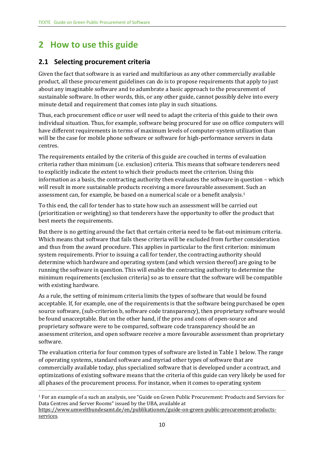# <span id="page-9-0"></span> **2 How to use this guide**

#### <span id="page-9-1"></span>**2.1 Selecting procurement criteria**

minute detail and requirement that comes into play in such situations. Given the fact that software is as varied and multifarious as any other commercially available product, all these procurement guidelines can do is to propose requirements that apply to just about any imaginable software and to adumbrate a basic approach to the procurement of sustainable software. In other words, this, or any other guide, cannot possibly delve into every

 individual situation. Thus, for example, software being procured for use on office computers will will be the case for mobile phone software or software for high-performance servers in data Thus, each procurement office or user will need to adapt the criteria of this guide to their own have different requirements in terms of maximum levels of computer-system utilization than centres.

 criteria rather than minimum (i.e. exclusion) criteria. This means that software tenderers need will result in more sustainable products receiving a more favourable assessment. Such an assessment can, for example, be based on a numerical scale or a benefit analysis.[1](#page-9-2) The requirements entailed by the criteria of this guide are couched in terms of evaluation to explicitly indicate the extent to which their products meet the criterion. Using this information as a basis, the contracting authority then evaluates the software in question – which

 To this end, the call for tender has to state how such an assessment will be carried out best meets the requirements. (prioritization or weighting) so that tenderers have the opportunity to offer the product that

 Which means that software that fails these criteria will be excluded from further consideration and thus from the award procedure. This applies in particular to the first criterion: minimum system requirements. Prior to issuing a call for tender, the contracting authority should But there is no getting around the fact that certain criteria need to be flat-out minimum criteria. determine which hardware and operating system (and which version thereof) are going to be running the software in question. This will enable the contracting authority to determine the minimum requirements (exclusion criteria) so as to ensure that the software will be compatible with existing hardware.

 As a rule, the setting of minimum criteria limits the types of software that would be found acceptable. If, for example, one of the requirements is that the software being purchased be open source software, (sub-criterion b, software code transparency), then proprietary software would be found unacceptable. But on the other hand, if the pros and cons of open-source and proprietary software were to be compared, software code transparency should be an assessment criterion, and open software receive a more favourable assessment than proprietary software.

The evaluation criteria for four common types of software are listed in Table 1 below. The range of operating systems, standard software and myriad other types of software that are commercially available today, plus specialized software that is developed under a contract, and optimizations of existing software means that the criteria of this guide can very likely be used for all phases of the procurement process. For instance, when it comes to operating system

<span id="page-9-2"></span><sup>1</sup> For an example of a such an analysis, see "Guide on Green Public Procurement: Products and Services for Data Centres and Server Rooms" issued by the UBA, available at

[https://www.umweltbundesamt.de/en/publikationen/guide-on-green-public-procurement-products](https://www.umweltbundesamt.de/en/publikationen/guide-on-green-public-procurement-products-services)[services.](https://www.umweltbundesamt.de/en/publikationen/guide-on-green-public-procurement-products-services)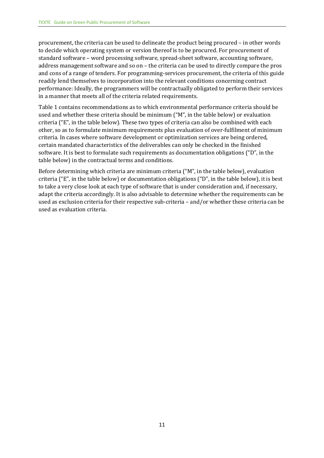address management software and so on – the criteria can be used to directly compare the pros performance: Ideally, the programmers will be contractually obligated to perform their services procurement, the criteria can be used to delineate the product being procured – in other words to decide which operating system or version thereof is to be procured. For procurement of standard software – word processing software, spread-sheet software, accounting software, and cons of a range of tenders. For programming-services procurement, the criteria of this guide readily lend themselves to incorporation into the relevant conditions concerning contract in a manner that meets all of the criteria related requirements.

 software. It is best to formulate such requirements as documentation obligations ("D", in the Table 1 contains recommendations as to which environmental performance criteria should be used and whether these criteria should be minimum ("M", in the table below) or evaluation criteria ("E", in the table below). These two types of criteria can also be combined with each other, so as to formulate minimum requirements plus evaluation of over-fulfilment of minimum criteria. In cases where software development or optimization services are being ordered, certain mandated characteristics of the deliverables can only be checked in the finished table below) in the contractual terms and conditions.

<span id="page-10-0"></span> used as exclusion criteria for their respective sub-criteria – and/or whether these criteria can be Before determining which criteria are minimum criteria ("M", in the table below), evaluation criteria ("E", in the table below) or documentation obligations ("D", in the table below), it is best to take a very close look at each type of software that is under consideration and, if necessary, adapt the criteria accordingly. It is also advisable to determine whether the requirements can be used as evaluation criteria.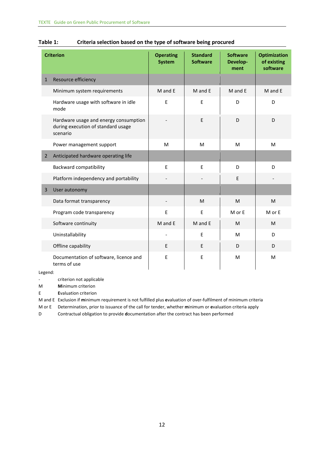|                | <b>Criterion</b>                                                                        | <b>Operating</b><br><b>System</b> | <b>Standard</b><br><b>Software</b> | <b>Software</b><br>Develop-<br>ment | <b>Optimization</b><br>of existing<br>software |
|----------------|-----------------------------------------------------------------------------------------|-----------------------------------|------------------------------------|-------------------------------------|------------------------------------------------|
| $\mathbf{1}$   | Resource efficiency                                                                     |                                   |                                    |                                     |                                                |
|                | Minimum system requirements                                                             | M and E                           | M and E                            | M and E                             | M and E                                        |
|                | Hardware usage with software in idle<br>mode                                            | E                                 | E                                  | D                                   | D                                              |
|                | Hardware usage and energy consumption<br>during execution of standard usage<br>scenario |                                   | E                                  | D                                   | D                                              |
|                | Power management support                                                                | M                                 | M                                  | M                                   | M                                              |
| $\overline{2}$ | Anticipated hardware operating life                                                     |                                   |                                    |                                     |                                                |
|                | <b>Backward compatibility</b>                                                           | E                                 | E                                  | D                                   | D                                              |
|                | Platform independency and portability                                                   |                                   |                                    | E                                   |                                                |
| $\overline{3}$ | User autonomy                                                                           |                                   |                                    |                                     |                                                |
|                | Data format transparency                                                                |                                   | M                                  | M                                   | M                                              |
|                | Program code transparency                                                               | E                                 | $\mathsf E$                        | M or E                              | M or E                                         |
|                | Software continuity                                                                     | M and E                           | M and E                            | M                                   | M                                              |
|                | Uninstallability                                                                        |                                   | E                                  | M                                   | D                                              |
|                | Offline capability                                                                      | E                                 | E                                  | D                                   | D                                              |
|                | Documentation of software, licence and<br>terms of use                                  | E                                 | E                                  | M                                   | M                                              |

#### **Table 1: Criteria selection based on the type of software being procured**

Legend:

- criterion not applicable

M **M**inimum criterion

E **E**valuation criterion

M and E Exclusion if **m**inimum requirement is not fulfilled plus **e**valuation of over-fulfilment of minimum criteria

M or E Determination, prior to issuance of the call for tender, whether **m**inimum or **e**valuation criteria apply

<span id="page-11-0"></span>D Contractual obligation to provide **d**ocumentation after the contract has been performed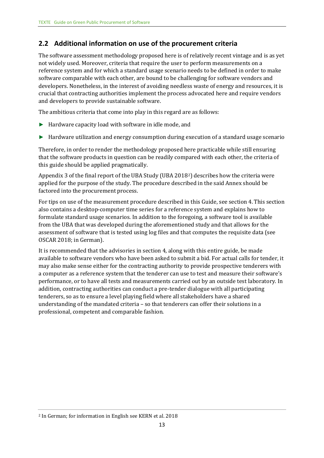#### **2.2 Additional information on use of the procurement criteria**

 developers. Nonetheless, in the interest of avoiding needless waste of energy and resources, it is and developers to provide sustainable software. The software assessment methodology proposed here is of relatively recent vintage and is as yet not widely used. Moreover, criteria that require the user to perform measurements on a reference system and for which a standard usage scenario needs to be defined in order to make software comparable with each other, are bound to be challenging for software vendors and crucial that contracting authorities implement the process advocated here and require vendors

The ambitious criteria that come into play in this regard are as follows:

- ► Hardware capacity load with software in idle mode, and
- ► Hardware utilization and energy consumption during execution of a standard usage scenario

this guide should be applied pragmatically. Therefore, in order to render the methodology proposed here practicable while still ensuring that the software products in question can be readily compared with each other, the criteria of

factored into the procurement process. Appendix 3 of the final report of the UBA Study (UBA 2018<sup>2</sup>) describes how the criteria were applied for the purpose of the study. The procedure described in the said Annex should be

For tips on use of the measurement procedure described in this Guide, see section 4. This section also contains a desktop-computer time series for a reference system and explains how to formulate standard usage scenarios. In addition to the foregoing, a software tool is available from the UBA that was developed during the aforementioned study and that allows for the assessment of software that is tested using log files and that computes the requisite data (see OSCAR 2018; in German).

 a computer as a reference system that the tenderer can use to test and measure their software's professional, competent and comparable fashion. It is recommended that the advisories in section 4, along with this entire guide, be made available to software vendors who have been asked to submit a bid. For actual calls for tender, it may also make sense either for the contracting authority to provide prospective tenderers with performance, or to have all tests and measurements carried out by an outside test laboratory. In addition, contracting authorities can conduct a pre-tender dialogue with all participating tenderers, so as to ensure a level playing field where all stakeholders have a shared understanding of the mandated criteria – so that tenderers can offer their solutions in a

<span id="page-12-0"></span><sup>&</sup>lt;sup>2</sup> In German; for information in English see KERN et al. 2018 professional, competent and comparable fashion. $^2$  In German; for information in English see KERN et al. 2018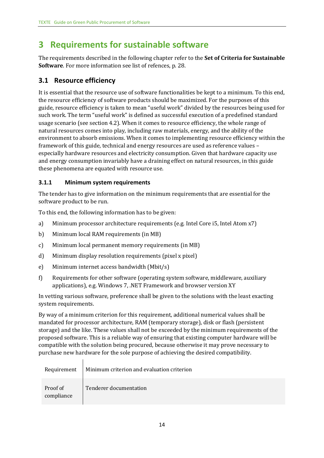# <span id="page-13-0"></span> **3 Requirements for sustainable software**

The requirements described in the following chapter refer to the **Set of Criteria for Sustainable Software**. For more information see list of refences, p. [28.](#page-27-0)

#### <span id="page-13-1"></span> **3.1 Resource efficiency**

 the resource efficiency of software products should be maximized. For the purposes of this guide, resource efficiency is taken to mean "useful work" divided by the resources being used for such work. The term "useful work" is defined as successful execution of a predefined standard It is essential that the resource use of software functionalities be kept to a minimum. To this end, usage scenario (see section 4.2). When it comes to resource efficiency, the whole range of natural resources comes into play, including raw materials, energy, and the ability of the environment to absorb emissions. When it comes to implementing resource efficiency within the framework of this guide, technical and energy resources are used as reference values – especially hardware resources and electricity consumption. Given that hardware capacity use and energy consumption invariably have a draining effect on natural resources, in this guide these phenomena are equated with resource use.

#### <span id="page-13-2"></span>**3.1.1 Minimum system requirements**

software product to be run. The tender has to give information on the minimum requirements that are essential for the

To this end, the following information has to be given:

- Minimum processor architecture requirements (e.g. Intel Core i5, Intel Atom x7)
- Minimum local RAM requirements (in MB)
- Minimum local permanent memory requirements (in MB)
- pixel)
- Minimum internet access bandwidth (Mbit/s)
- Requirements for other software (operating system software, middleware, auxiliary software product to be run.<br>
To this end, the following information has to be given:<br>
a) Minimum processor architecture requirements (e.g. Intel Core i5, Intel Atom x7)<br>
b) Minimum local RAM requirements (in MB)<br>
c) Minimu applications), e.g. Windows 7, .NET Framework and browser version XY

In vetting various software, preference shall be given to the solutions with the least exacting system requirements.

 mandated for processor architecture, RAM (temporary storage), disk or flash (persistent By way of a minimum criterion for this requirement, additional numerical values shall be storage) and the like. These values shall not be exceeded by the minimum requirements of the proposed software. This is a reliable way of ensuring that existing computer hardware will be compatible with the solution being procured, because otherwise it may prove necessary to purchase new hardware for the sole purpose of achieving the desired compatibility.

| Requirement            | Minimum criterion and evaluation criterion |
|------------------------|--------------------------------------------|
| Proof of<br>compliance | Tenderer documentation                     |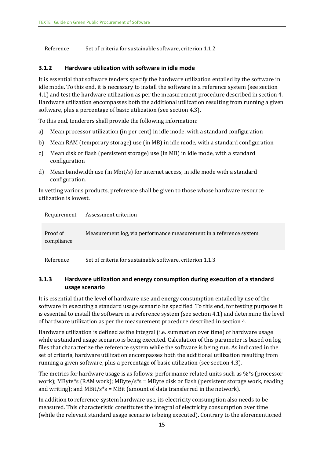$\mathbf{r}$ 

Reference Set of criteria for sustainable software, criterion  $1.1.2$ 

#### <span id="page-14-0"></span> $3.1.2$ **3.1.2Hardware utilization with software in idle mode**

 It is essential that software tenders specify the hardware utilization entailed by the software in idle mode. To this end, it is necessary to install the software in a reference system (see section 4.1) and test the hardware utilization as per the measurement procedure described in section 4. Hardware utilization encompasses both the additional utilization resulting from running a given software, plus a percentage of basic utilization (see section 4.3).

To this end, tenderers shall provide the following information:

- a) Mean processor utilization (in per cent) in idle mode, with a standard configuration
- b) Mean RAM (temporary storage) use (in MB) in idle mode, with a standard configuration
- $c$ ) Mean disk or flash (persistent storage) use (in MB) in idle mode, with a standard configuration
- d) Mean bandwidth use (in Mbit/s) for internet access, in idle mode with a standard configuration.

In vetting various products, preference shall be given to those whose hardware resource utilization is lowest.

| Requirement            | Assessment criterion                                               |
|------------------------|--------------------------------------------------------------------|
| Proof of<br>compliance | Measurement log, via performance measurement in a reference system |
| Reference              | Set of criteria for sustainable software, criterion 1.1.3          |

#### <span id="page-14-1"></span>**3.1.3** Hardware utilization and energy consumption during execution of a standard  $3.1.3$ **usage scenario**

 software in executing a standard usage scenario be specified. To this end, for testing purposes it of hardware utilization as per the measurement procedure described in section 4. It is essential that the level of hardware use and energy consumption entailed by use of the is essential to install the software in a reference system (see section 4.1) and determine the level

Hardware utilization is defined as the integral (i.e. summation over time) of hardware usage while a standard usage scenario is being executed. Calculation of this parameter is based on log files that characterize the reference system while the software is being run. As indicated in the set of criteria, hardware utilization encompasses both the additional utilization resulting from running a given software, plus a percentage of basic utilization (see section 4.3).

The metrics for hardware usage is as follows: performance related units such as  $\frac{6}{5}$  (processor work); MByte\*s (RAM work); MByte/s\*s = MByte disk or flash (persistent storage work, reading and writing); and MBit/s\*s = MBit (amount of data transferred in the network).

In addition to reference-system hardware use, its electricity consumption also needs to be measured. This characteristic constitutes the integral of electricity consumption over time (while the relevant standard usage scenario is being executed). Contrary to the aforementioned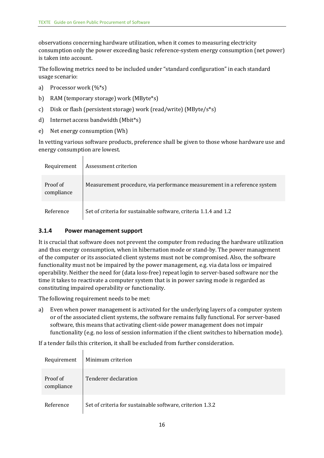observations concerning hardware utilization, when it comes to measuring electricity consumption only the power exceeding basic reference-system energy consumption (net power) is taken into account.

usage scenario: The following metrics need to be included under "standard configuration" in each standard

- work (%\*s)
- (MByte\*s)
- c) Disk or flash (persistent storage) work (read/write) (MByte/s\*s)
- (Mbit\*s)
- e) Net energy consumption (Wh)

usage scenario:<br>
a) Processor work (%\*s)<br>
b) RAM (temporary storage) work (MByte\*s)<br>
c) Disk or flash (persistent storage) work (read/write) (MByte/s\*s)<br>
d) Internet access bandwidth (Mbit\*s)<br>
e) Net energy consumption (Wh

| energy consumption are lowest. |                        |                                                                          |  |  |
|--------------------------------|------------------------|--------------------------------------------------------------------------|--|--|
|                                | Requirement            | Assessment criterion                                                     |  |  |
|                                | Proof of<br>compliance | Measurement procedure, via performance measurement in a reference system |  |  |
|                                | Reference              | Set of criteria for sustainable software, criteria 1.1.4 and 1.2         |  |  |

#### <span id="page-15-0"></span>**3.1.4 Power management support**

 and thus energy consumption, when in hibernation mode or stand-by. The power management functionality must not be impaired by the power management, e.g. via data loss or impaired It is crucial that software does not prevent the computer from reducing the hardware utilization of the computer or its associated client systems must not be compromised. Also, the software operability. Neither the need for (data loss-free) repeat login to server-based software nor the time it takes to reactivate a computer system that is in power saving mode is regarded as constituting impaired operability or functionality.

The following requirement needs to be met:

a) – Even when power management is activated for the underlying layers of a computer system software, this means that activating client-side power management does not impair functionality (e.g. no loss of session information if the client switches to hibernation mode). a) or of the associated client systems, the software remains fully functional. For server-based

If a tender fails this criterion, it shall be excluded from further consideration.

| Requirement            | Minimum criterion                                         |
|------------------------|-----------------------------------------------------------|
| Proof of<br>compliance | Tenderer declaration                                      |
| Reference              | Set of criteria for sustainable software, criterion 1.3.2 |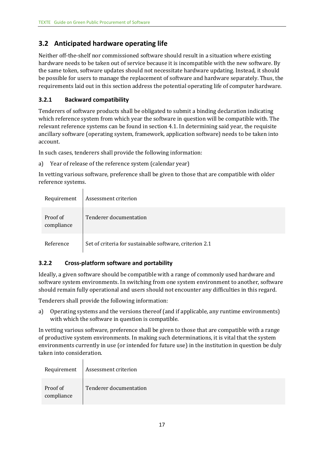## <span id="page-16-0"></span> **3.2 Anticipated hardware operating life**

Neither off-the-shelf nor commissioned software should result in a situation where existing hardware needs to be taken out of service because it is incompatible with the new software. By the same token, software updates should not necessitate hardware updating. Instead, it should be possible for users to manage the replacement of software and hardware separately. Thus, the requirements laid out in this section address the potential operating life of computer hardware.

#### <span id="page-16-1"></span>**3.2.1 Backward compatibility**

 $\overline{\phantom{a}}$ 

Tenderers of software products shall be obligated to submit a binding declaration indicating which reference system from which year the software in question will be compatible with. The relevant reference systems can be found in section 4.1. In determining said year, the requisite ancillary software (operating system, framework, application software) needs to be taken into account.

In such cases, tenderers shall provide the following information:

a) Year of release of the reference system (calendar year)

 In vetting various software, preference shall be given to those that are compatible with older reference systems.

| Requirement            | Assessment criterion                                    |
|------------------------|---------------------------------------------------------|
| Proof of<br>compliance | Tenderer documentation                                  |
| Reference              | Set of criteria for sustainable software, criterion 2.1 |

#### <span id="page-16-2"></span> **3.2.2 Cross-platform software and portability**

Ideally, a given software should be compatible with a range of commonly used hardware and software system environments. In switching from one system environment to another, software should remain fully operational and users should not encounter any difficulties in this regard.

Tenderers shall provide the following information:

a) Operating systems and the versions thereof (and if applicable, any runtime environments) with which the software in question is compatible.

 of productive system environments. In making such determinations, it is vital that the system In vetting various software, preference shall be given to those that are compatible with a range environments currently in use (or intended for future use) in the institution in question be duly taken into consideration.

| Requirement            | Assessment criterion   |
|------------------------|------------------------|
| Proof of<br>compliance | Tenderer documentation |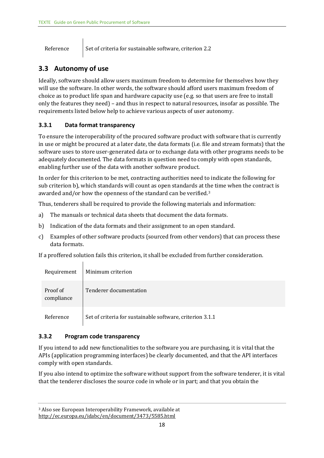Reference Set of criteria for sustainable software, criterion 2.2

## <span id="page-17-0"></span> **3.3 Autonomy of use**

 Ideally, software should allow users maximum freedom to determine for themselves how they will use the software. In other words, the software should afford users maximum freedom of choice as to product life span and hardware capacity use (e.g. so that users are free to install only the features they need) – and thus in respect to natural resources, insofar as possible. The requirements listed below help to achieve various aspects of user autonomy.

#### <span id="page-17-1"></span> **3.3.1 Data format transparency**

 enabling further use of the data with another software product. To ensure the interoperability of the procured software product with software that is currently in use or might be procured at a later date, the data formats (i.e. file and stream formats) that the software uses to store user-generated data or to exchange data with other programs needs to be adequately documented. The data formats in question need to comply with open standards,

 In order for this criterion to be met, contracting authorities need to indicate the following for awarded and/or how the openness of the standard can be verified.<sup>[3](#page-17-3)</sup> sub criterion b), which standards will count as open standards at the time when the contract is

Thus, tenderers shall be required to provide the following materials and information:

- The manuals or technical data sheets that document the data formats. a)
- Indication of the data formats and their assignment to an open standard.
- Thus, tenderers shall be required to provide the following materials and information:<br>a) The manuals or technical data sheets that document the data formats.<br>b) Indication of the data formats and their assignment to an ope data formats.  $c)$

data formats. If a proffered solution fails this criterion, it shall be excluded from further consideration.

| Requirement            | Minimum criterion                                         |
|------------------------|-----------------------------------------------------------|
| Proof of<br>compliance | Tenderer documentation                                    |
| Reference              | Set of criteria for sustainable software, criterion 3.1.1 |

#### <span id="page-17-2"></span>**3.3.2 Program code transparency**

If you intend to add new functionalities to the software you are purchasing, it is vital that the APIs (application programming interfaces) be clearly documented, and that the API interfaces comply with open standards.

 that the tenderer discloses the source code in whole or in part; and that you obtain the If you also intend to optimize the software without support from the software tenderer, it is vital

<span id="page-17-3"></span> <http://ec.europa.eu/idabc/en/document/3473/5585.html>3 Also see European Interoperability Framework, available at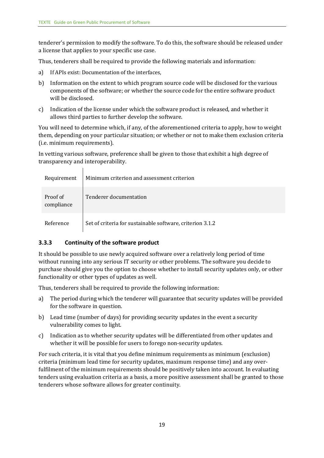tenderer's permission to modify the software. To do this, the software should be released under a license that applies to your specific use case.

Thus, tenderers shall be required to provide the following materials and information:

- a) If APIs exist: Documentation of the interfaces,
- b) Information on the extent to which program source code will be disclosed for the various components of the software; or whether the source code for the entire software product will be disclosed.
- $c)$ c)Indication of the license under which the software product is released, and whether it allows third parties to further develop the software.

 You will need to determine which, if any, of the aforementioned criteria to apply, how to weight them, depending on your particular situation; or whether or not to make them exclusion criteria (i.e. minimum requirements).

In vetting various software, preference shall be given to those that exhibit a high degree of transparency and interoperability.

| Requirement            | Minimum criterion and assessment criterion                |
|------------------------|-----------------------------------------------------------|
| Proof of<br>compliance | Tenderer documentation                                    |
| Reference              | Set of criteria for sustainable software, criterion 3.1.2 |

#### <span id="page-18-0"></span>**3.3.3 Continuity of the software product**

 $\overline{1}$ 

 purchase should give you the option to choose whether to install security updates only, or other It should be possible to use newly acquired software over a relatively long period of time without running into any serious IT security or other problems. The software you decide to functionality or other types of updates as well.

Thus, tenderers shall be required to provide the following information:

- a) The period during which the tenderer will guarantee that security updates will be provided for the software in question.
- b) Lead time (number of days) for providing security updates in the event a security vulnerability comes to light.
- $c$ ) Indication as to whether security updates will be differentiated from other updates and whether it will be possible for users to forego non-security updates.

 tenders using evaluation criteria as a basis, a more positive assessment shall be granted to those For such criteria, it is vital that you define minimum requirements as minimum (exclusion) criteria (minimum lead time for security updates, maximum response time) and any overfulfilment of the minimum requirements should be positively taken into account. In evaluating tenderers whose software allows for greater continuity.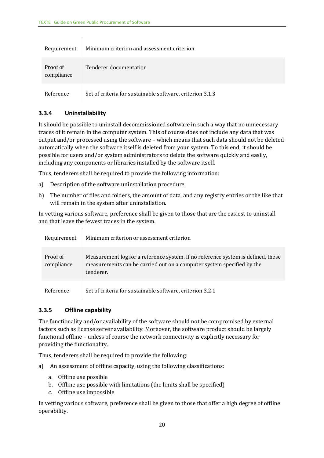$\overline{1}$ 

| Requirement            | Minimum criterion and assessment criterion                |
|------------------------|-----------------------------------------------------------|
| Proof of<br>compliance | Tenderer documentation                                    |
| Reference              | Set of criteria for sustainable software, criterion 3.1.3 |

#### <span id="page-19-0"></span>**3.3.4 Uninstallability**

It should be possible to uninstall decommissioned software in such a way that no unnecessary traces of it remain in the computer system. This of course does not include any data that was output and/or processed using the software – which means that such data should not be deleted automatically when the software itself is deleted from your system. To this end, it should be possible for users and/or system administrators to delete the software quickly and easily, including any components or libraries installed by the software itself.

Thus, tenderers shall be required to provide the following information:

- a) Description of the software uninstallation procedure.
- b) The number of files and folders, the amount of data, and any registry entries or the like that will remain in the system after uninstallation.

In vetting various software, preference shall be given to those that are the easiest to uninstall and that leave the fewest traces in the system.

| Requirement            | Minimum criterion or assessment criterion                                                                                                                              |
|------------------------|------------------------------------------------------------------------------------------------------------------------------------------------------------------------|
| Proof of<br>compliance | Measurement log for a reference system. If no reference system is defined, these<br>measurements can be carried out on a computer system specified by the<br>tenderer. |
| Reference              | Set of criteria for sustainable software, criterion 3.2.1                                                                                                              |

#### <span id="page-19-1"></span> **3.3.5 Offline capability**

 functional offline – unless of course the network connectivity is explicitly necessary for The functionality and/or availability of the software should not be compromised by external factors such as license server availability. Moreover, the software product should be largely providing the functionality.

Thus, tenderers shall be required to provide the following:

- a) An assessment of offline capacity, using the following classifications:
	- a. Offline use possible
	- b. Offline use possible with limitations (the limits shall be specified)
	- c. Offline use impossible

In vetting various software, preference shall be given to those that offer a high degree of offline operability.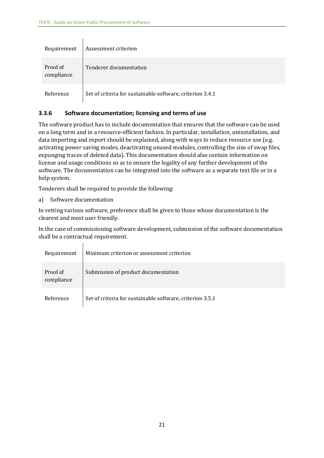| Requirement            | Assessment criterion                                      |
|------------------------|-----------------------------------------------------------|
| Proof of<br>compliance | Tenderer documentation                                    |
| Reference              | Set of criteria for sustainable software, criterion 3.4.1 |

#### <span id="page-20-0"></span> **3.3.6 Software documentation; licensing and terms of use**

 The software product has to include documentation that ensures that the software can be used on a long term and in a resource-efficient fashion. In particular, installation, uninstallation, and data importing and export should be explained, along with ways to reduce resource use (e.g. activating power saving modes, deactivating unused modules, controlling the size of swap files, expunging traces of deleted data). This documentation should also contain information on license and usage conditions so as to ensure the legality of any further development of the software. The documentation can be integrated into the software as a separate text file or in a help system.

Tenderers shall be required to provide the following:

a) Software documentation

 $\mathbf{I}$ 

clearest and most user friendly. In vetting various software, preference shall be given to those whose documentation is the

In the case of commissioning software development, submission of the software documentation shall be a contractual requirement.

| Requirement            | Minimum criterion or assessment criterion                 |
|------------------------|-----------------------------------------------------------|
| Proof of<br>compliance | Submission of product documentation                       |
| Reference              | Set of criteria for sustainable software, criterion 3.5.1 |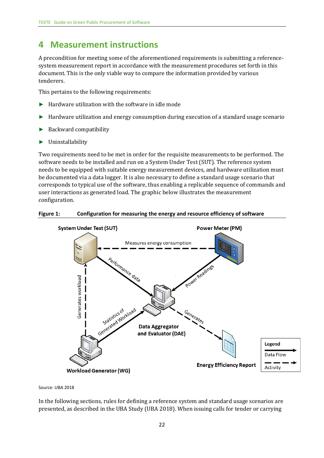## <span id="page-21-0"></span> **4 Measurement instructions**

tenderers. A precondition for meeting some of the aforementioned requirements is submitting a referencesystem measurement report in accordance with the measurement procedures set forth in this document. This is the only viable way to compare the information provided by various

This pertains to the following requirements:

- $\blacktriangleright$  Hardware utilization with the software in idle mode
- ► Hardware utilization and energy consumption during execution of a standard usage scenario
- ► Backward compatibility
- ► Uninstallability

 software needs to be installed and run on a System Under Test (SUT). The reference system configuration. Two requirements need to be met in order for the requisite measurements to be performed. The needs to be equipped with suitable energy measurement devices, and hardware utilization must be documented via a data logger. It is also necessary to define a standard usage scenario that corresponds to typical use of the software, thus enabling a replicable sequence of commands and user interactions as generated load. The graphic below illustrates the measurement

<span id="page-21-1"></span>



Source: UBA 2018

In the following sections, rules for defining a reference system and standard usage scenarios are presented, as described in the UBA Study (UBA 2018). When issuing calls for tender or carrying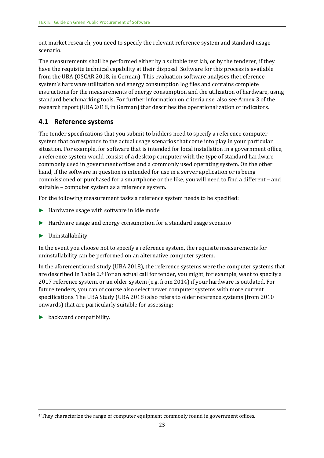scenario. out market research, you need to specify the relevant reference system and standard usage

 research report (UBA 2018, in German) that describes the operationalization of indicators. The measurements shall be performed either by a suitable test lab, or by the tenderer, if they have the requisite technical capability at their disposal. Software for this process is available from the UBA (OSCAR 2018, in German). This evaluation software analyses the reference system's hardware utilization and energy consumption log files and contains complete instructions for the measurements of energy consumption and the utilization of hardware, using standard benchmarking tools. For further information on criteria use, also see Annex 3 of the

#### <span id="page-22-0"></span>**4.1 Reference systems**

 hand, if the software in question is intended for use in a server application or is being suitable – computer system as a reference system. The tender specifications that you submit to bidders need to specify a reference computer system that corresponds to the actual usage scenarios that come into play in your particular situation. For example, for software that is intended for local installation in a government office, a reference system would consist of a desktop computer with the type of standard hardware commonly used in government offices and a commonly used operating system. On the other commissioned or purchased for a smartphone or the like, you will need to find a different – and

For the following measurement tasks a reference system needs to be specified:

- ► Hardware usage with software in idle mode
- ► Hardware usage and energy consumption for a standard usage scenario
- ► Uninstallability

 uninstallability can be performed on an alternative computer system. In the event you choose not to specify a reference system, the requisite measurements for

 2017 reference system, or an older system (e.g. from 2014) if your hardware is outdated. For In the aforementioned study (UBA 2018), the reference systems were the computer systems that are described in Table 2.[4](#page-22-2) For an actual call for tender, you might, for example, want to specify a future tenders, you can of course also select newer computer systems with more current specifications. The UBA Study (UBA 2018) also refers to older reference systems (from 2010 onwards) that are particularly suitable for assessing:

<span id="page-22-1"></span>► backward compatibility.

<span id="page-22-2"></span><sup>4</sup> They characterize the range of computer equipment commonly found in government offices.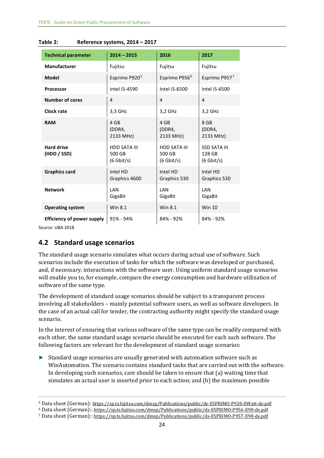| <b>Technical parameter</b>        | $2014 - 2015$                                 | 2016                                          | 2017                                          |
|-----------------------------------|-----------------------------------------------|-----------------------------------------------|-----------------------------------------------|
| <b>Manufacturer</b>               | Fujitsu                                       | Fujitsu                                       | Fujitsu                                       |
| <b>Model</b>                      | Esprimo P920 <sup>5</sup>                     | Esprimo P956 <sup>6</sup>                     | Esprimo P9577                                 |
| <b>Processor</b>                  | Intel i5-4590                                 | Intel i5-6500                                 | Intel i5-6500                                 |
| <b>Number of cores</b>            | 4                                             | $\overline{4}$                                | $\overline{4}$                                |
| <b>Clock rate</b>                 | 3,3 GHz                                       | 3,2 GHz                                       | 3,2 GHz                                       |
| <b>RAM</b>                        | 4 GB<br>(DDR4,<br>2133 MHz)                   | 4 GB<br>(DDR4,<br>2133 MHz)                   | 8 GB<br>(DDR4,<br>2133 MHz)                   |
| <b>Hard drive</b><br>(HDD / SSD)  | <b>HDD SATA III</b><br>500 GB<br>$(6$ Gbit/s) | <b>HDD SATA III</b><br>500 GB<br>$(6$ Gbit/s) | <b>SSD SATA III</b><br>128 GB<br>$(6$ Gbit/s) |
| <b>Graphics card</b>              | Intel HD<br>Graphics 4600                     | Intel HD<br>Graphics 530                      | Intel HD<br>Graphics 530                      |
| <b>Network</b>                    | LAN<br>GigaBit                                | LAN<br>GigaBit                                | LAN<br>GigaBit                                |
| <b>Operating system</b>           | Win 8.1                                       | Win 8.1                                       | <b>Win 10</b>                                 |
| <b>Efficiency of power supply</b> | $91\% - 94\%$                                 | 84% - 92%                                     | 84% - 92%                                     |

| Table 2: | Reference systems, 2014 - 2017 |  |
|----------|--------------------------------|--|
|----------|--------------------------------|--|

Source: UBA 2018

#### <span id="page-23-0"></span> **4.2 Standard usage scenarios**

The standard usage scenario simulates what occurs during actual use of software. Such scenarios include the execution of tasks for which the software was developed or purchased, and, if necessary, interactions with the software user. Using uniform standard usage scenarios will enable you to, for example, compare the energy consumption and hardware utilization of software of the same type.

 the case of an actual call for tender, the contracting authority might specify the standard usage The development of standard usage scenarios should be subject to a transparent process involving all stakeholders – mainly potential software users, as well as software developers. In scenario.

 each other, the same standard usage scenario should be executed for each such software. The In the interest of ensuring that various software of the same type can be readily compared with following factors are relevant for the development of standard usage scenarios:

 ►Standard usage scenarios are usually generated with automation software such as WinAutomation. The scenario contains standard tasks that are carried out with the software. In developing such scenarios, care should be taken to ensure that (a) waiting time that simulates an actual user is inserted prior to each action; and (b) the maximum possible

Data sheet (German): https://sp.ts.fujitsu.com/dmsp/Publications/public/ds-ESPRIMO-P920-0Watt-de.pdf

<span id="page-23-2"></span><span id="page-23-1"></span>Data sheet (German):: https://sp.ts.fujitsu.com/dmsp/Publications/public/ds-ESPRIMO-P956-E90-de.pdf <sup>5</sup> Data sheet (German): <u>https://sp.ts.fujitsu.com/dmsp/Publications/public/ds-ESPRIMO-P920-0Watt-de.pdf<br><sup>6</sup> Data sheet (German):: <u>https://sp.ts.fujitsu.com/dmsp/Publications/public/ds-ESPRIMO-P956-E90-de.pdf<br><sup>7</sup> Data sh</u></u>

<span id="page-23-3"></span>Data sheet (German):: https://sp.ts.fujitsu.com/dmsp/Publications/public/ds-ESPRIMO-P957-E90-de.pdf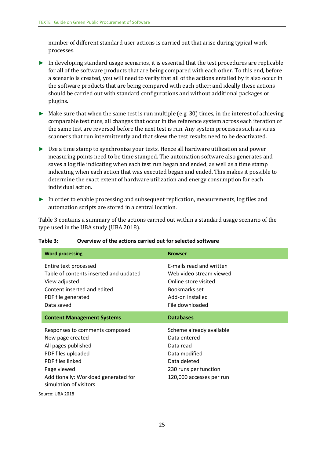number of different standard user actions is carried out that arise during typical work processes.

- for all of the software products that are being compared with each other. To this end, before a scenario is created, you will need to verify that all of the actions entailed by it also occur in the software products that are being compared with each other; and ideally these actions ►In developing standard usage scenarios, it is essential that the test procedures are replicable should be carried out with standard configurations and without additional packages or plugins.
- ► Make sure that when the same test is run multiple (e.g. 30) times, in the interest of achieving comparable test runs, all changes that occur in the reference system across each iteration of the same test are reversed before the next test is run. Any system processes such as virus scanners that run intermittently and that skew the test results need to be deactivated.
- ►Use a time stamp to synchronize your tests. Hence all hardware utilization and power measuring points need to be time stamped. The automation software also generates and saves a log file indicating when each test run began and ended, as well as a time stamp indicating when each action that was executed began and ended. This makes it possible to determine the exact extent of hardware utilization and energy consumption for each individual action.
- ► In order to enable processing and subsequent replication, measurements, log files and automation scripts are stored in a central location.

 type used in the UBA study (UBA 2018). Table 3 contains a summary of the actions carried out within a standard usage scenario of the

| Overview of the actions carried out for selected software<br>Table 3:                                                                                                                                |                                                                                                                                                     |                                                                                                                                             |  |
|------------------------------------------------------------------------------------------------------------------------------------------------------------------------------------------------------|-----------------------------------------------------------------------------------------------------------------------------------------------------|---------------------------------------------------------------------------------------------------------------------------------------------|--|
|                                                                                                                                                                                                      | <b>Word processing</b>                                                                                                                              | <b>Browser</b>                                                                                                                              |  |
|                                                                                                                                                                                                      | Entire text processed<br>Table of contents inserted and updated<br>View adjusted<br>Content inserted and edited<br>PDF file generated<br>Data saved | E-mails read and written<br>Web video stream viewed<br>Online store visited<br>Bookmarks set<br>Add-on installed<br>File downloaded         |  |
| <b>Content Management Systems</b>                                                                                                                                                                    |                                                                                                                                                     | <b>Databases</b>                                                                                                                            |  |
| Responses to comments composed<br>New page created<br>All pages published<br>PDF files uploaded<br>PDF files linked<br>Page viewed<br>Additionally: Workload generated for<br>simulation of visitors |                                                                                                                                                     | Scheme already available<br>Data entered<br>Data read<br>Data modified<br>Data deleted<br>230 runs per function<br>120,000 accesses per run |  |
|                                                                                                                                                                                                      | Source: UBA 2018                                                                                                                                    |                                                                                                                                             |  |

<span id="page-24-0"></span>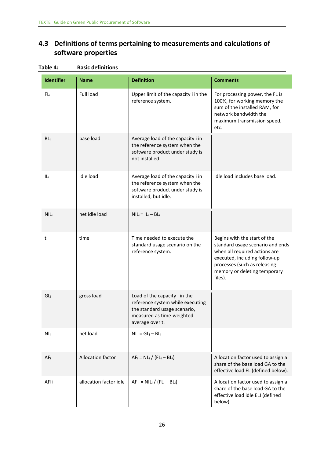## <span id="page-25-0"></span>**4.3 Definitions of terms pertaining to measurements and calculations of software properties**

| <b>Identifier</b> | <b>Name</b>            | <b>Definition</b>                                                                                                                                 | <b>Comments</b>                                                                                                                                                                                               |
|-------------------|------------------------|---------------------------------------------------------------------------------------------------------------------------------------------------|---------------------------------------------------------------------------------------------------------------------------------------------------------------------------------------------------------------|
| FL <sub>i</sub>   | <b>Full load</b>       | Upper limit of the capacity i in the<br>reference system.                                                                                         | For processing power, the FL is<br>100%, for working memory the<br>sum of the installed RAM, for<br>network bandwidth the<br>maximum transmission speed,<br>etc.                                              |
| BL <sub>i</sub>   | base load              | Average load of the capacity i in<br>the reference system when the<br>software product under study is<br>not installed                            |                                                                                                                                                                                                               |
| ILi               | idle load              | Average load of the capacity i in<br>the reference system when the<br>software product under study is<br>installed, but idle.                     | Idle load includes base load.                                                                                                                                                                                 |
| <b>NIL</b> i      | net idle load          | $NIL_i = IL_i - BL_i$                                                                                                                             |                                                                                                                                                                                                               |
| t                 | time                   | Time needed to execute the<br>standard usage scenario on the<br>reference system.                                                                 | Begins with the start of the<br>standard usage scenario and ends<br>when all required actions are<br>executed, including follow-up<br>processes (such as releasing<br>memory or deleting temporary<br>files). |
| GLi               | gross load             | Load of the capacity i in the<br>reference system while executing<br>the standard usage scenario,<br>measured as time-weighted<br>average over t. |                                                                                                                                                                                                               |
| NL <sub>i</sub>   | net load               | $NL_i = GL_i - BL_i$                                                                                                                              |                                                                                                                                                                                                               |
| AF <sub>i</sub>   | Allocation factor      | $AF_i = NL_i / (FL_i - BL_i)$                                                                                                                     | Allocation factor used to assign a<br>share of the base load GA to the<br>effective load EL (defined below).                                                                                                  |
| AFIi              | allocation factor idle | $AFI_i = NIL_i / (FL_i - BL_i)$                                                                                                                   | Allocation factor used to assign a<br>share of the base load GA to the<br>effective load idle ELI (defined<br>below).                                                                                         |

#### <span id="page-25-1"></span>Table 4: **Basic definitions**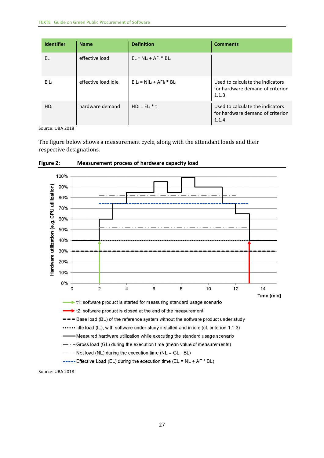| <b>Identifier</b> | <b>Name</b>         | <b>Definition</b>              | <b>Comments</b>                                                               |
|-------------------|---------------------|--------------------------------|-------------------------------------------------------------------------------|
| ELi               | effective load      | $EL = NLi + AFi * BLi$         |                                                                               |
| EIL               | effective load idle | $EIL_i = NIL_i + AFI_i * BL_i$ | Used to calculate the indicators<br>for hardware demand of criterion<br>1.1.3 |
| HD <sub>i</sub>   | hardware demand     | $HD_i = EL_i * t$              | Used to calculate the indicators<br>for hardware demand of criterion<br>1.1.4 |

Source: UBA 2018

 The figure below shows a measurement cycle, along with the attendant loads and their respective designations.



<span id="page-26-0"></span> **Figure 2: Measurement process of hardware capacity load** 

Source: UBA 2018